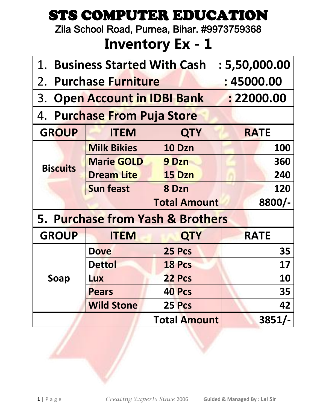Zila School Road, Purnea, Bihar. #9973759368

| 1. Business Started With Cash : 5,50,000.00 |                                     |                     |             |  |  |
|---------------------------------------------|-------------------------------------|---------------------|-------------|--|--|
|                                             | 2. Purchase Furniture<br>: 45000.00 |                     |             |  |  |
|                                             | 3. Open Account in IDBI Bank        |                     | : 22000.00  |  |  |
|                                             | 4. Purchase From Puja Store         |                     |             |  |  |
| <b>GROUP</b>                                | <b>ITEM</b>                         | <b>QTY</b>          | <b>RATE</b> |  |  |
|                                             | <b>Milk Bikies</b>                  | <b>10 Dzn</b>       | <b>100</b>  |  |  |
| <b>Biscuits</b>                             | <b>Marie GOLD</b>                   | 9 Dzn               | 360         |  |  |
|                                             | <b>Dream Lite</b>                   | <b>15 Dzn</b>       | 240         |  |  |
|                                             | <b>Sun feast</b>                    | 8 Dzn               |             |  |  |
|                                             |                                     | <b>Total Amount</b> | 8800/-      |  |  |
|                                             | 5. Purchase from Yash & Brothers    |                     |             |  |  |
| <b>GROUP</b>                                | <b>ITEM</b>                         | <b>QTY</b>          | <b>RATE</b> |  |  |
|                                             | <b>Dove</b>                         | 25 Pcs              | 35          |  |  |
|                                             | <b>Dettol</b>                       | 18 Pcs              | 17          |  |  |
| Soap                                        | <b>Lux</b>                          | 22 Pcs              | <b>10</b>   |  |  |
|                                             | <b>Pears</b>                        | 40 Pcs              | 35          |  |  |
| <b>Wild Stone</b><br>25 Pcs                 |                                     |                     |             |  |  |
|                                             | $3851/-$                            |                     |             |  |  |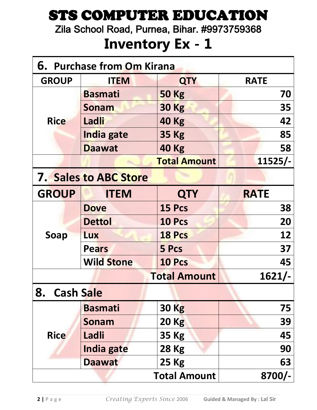Zila School Road, Purnea, Bihar. #9973759368

| <b>6. Purchase from Om Kirana</b> |                   |                     |             |  |
|-----------------------------------|-------------------|---------------------|-------------|--|
| <b>GROUP</b>                      | <b>ITEM</b>       | <b>QTY</b>          | <b>RATE</b> |  |
|                                   | <b>Basmati</b>    | <b>50 Kg</b>        | 70          |  |
|                                   | <b>Sonam</b>      | <b>30 Kg</b>        | 35          |  |
| <b>Rice</b>                       | Ladli             | <b>40 Kg</b>        | 42          |  |
|                                   | India gate        | <b>35 Kg</b>        | 85          |  |
|                                   | <b>Daawat</b>     | <b>40 Kg</b>        | 58          |  |
|                                   |                   | <b>Total Amount</b> | $11525/-$   |  |
| <b>7. Sales to ABC Store</b>      |                   |                     |             |  |
| <b>GROUP</b>                      | <b>ITEM</b>       | <b>QTY</b>          | <b>RATE</b> |  |
|                                   | <b>Dove</b>       | 15 Pcs              | 38          |  |
|                                   | <b>Dettol</b>     | 10 Pcs              | 20          |  |
| <b>Soap</b>                       | <b>Lux</b>        | <b>18 Pcs</b>       | 12          |  |
|                                   | <b>Pears</b>      | 5 Pcs               | 37          |  |
|                                   | <b>Wild Stone</b> | 10 Pcs              | 45          |  |
|                                   |                   | <b>Total Amount</b> | 1621/-      |  |
| 8.<br><b>Cash Sale</b>            |                   |                     |             |  |
|                                   | <b>Basmati</b>    | <b>30 Kg</b>        | 75          |  |
|                                   | <b>Sonam</b>      | <b>20 Kg</b>        | 39          |  |
| <b>Rice</b>                       | Ladli             | <b>35 Kg</b>        | 45          |  |
|                                   | India gate        | <b>28 Kg</b>        | 90          |  |
|                                   | <b>Daawat</b>     | <b>25 Kg</b>        | 63          |  |
| <b>Total Amount</b>               |                   |                     | $8700/-$    |  |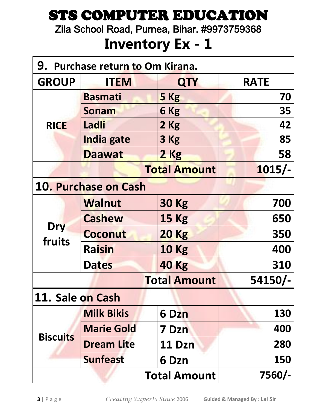Zila School Road, Purnea, Bihar. #9973759368

| 9. Purchase return to Om Kirana. |                      |                     |             |  |
|----------------------------------|----------------------|---------------------|-------------|--|
| <b>GROUP</b>                     | <b>ITEM</b>          | <b>QTY</b>          | <b>RATE</b> |  |
|                                  | <b>Basmati</b>       | 5 Kg                | 70          |  |
|                                  | <b>Sonam</b>         | 6 Kg                | 35          |  |
| <b>RICE</b>                      | Ladli                | 2 Kg                | 42          |  |
|                                  | India gate           | 3 Kg                | 85          |  |
|                                  | <b>Daawat</b>        | 2 Kg                | 58          |  |
|                                  |                      | <b>Total Amount</b> | $1015/-$    |  |
|                                  | 10. Purchase on Cash |                     |             |  |
|                                  | <b>Walnut</b>        | <b>30 Kg</b>        | 700         |  |
|                                  | <b>Cashew</b>        | <b>15 Kg</b>        | 650         |  |
| <b>Dry</b><br>fruits             | Coconut              | <b>20 Kg</b>        | 350         |  |
|                                  | Raisin               | <b>10 Kg</b>        | 400         |  |
|                                  | <b>Dates</b>         | <b>40 Kg</b>        | 310         |  |
|                                  |                      | <b>Total Amount</b> | 54150/-     |  |
| 11. Sale on Cash                 |                      |                     |             |  |
|                                  | <b>Milk Bikis</b>    | 6 Dzn               | <b>130</b>  |  |
|                                  | <b>Marie Gold</b>    | <b>7 Dzn</b>        | 400         |  |
| <b>Biscuits</b>                  | <b>Dream Lite</b>    | 11 Dzn              | 280         |  |
|                                  | <b>Sunfeast</b>      | 6 Dzn               | <b>150</b>  |  |
|                                  | 7560/-               |                     |             |  |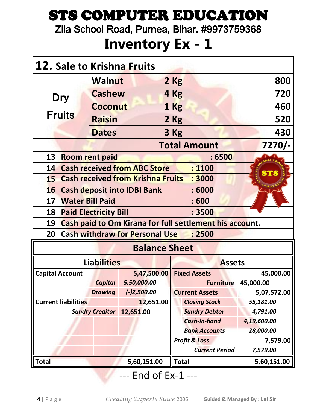Zila School Road, Purnea, Bihar. #9973759368

#### **Inventory Ex - 1**

|              | 12. Sale to Krishna Fruits          |                                              |                                          |      |                                                         |               |                            |
|--------------|-------------------------------------|----------------------------------------------|------------------------------------------|------|---------------------------------------------------------|---------------|----------------------------|
|              |                                     | <b>Walnut</b>                                |                                          | 2 Kg |                                                         | 800           |                            |
|              | <b>Dry</b>                          | <b>Cashew</b>                                |                                          |      | 4 Kg                                                    |               | 720                        |
|              |                                     | <b>Coconut</b>                               |                                          |      | 1 Kg                                                    |               | 460                        |
|              | <b>Fruits</b>                       | <b>Raisin</b>                                |                                          | 2 Kg |                                                         |               | 520                        |
|              |                                     | <b>Dates</b>                                 |                                          | 3 Kg |                                                         |               | 430                        |
|              |                                     |                                              |                                          |      | <b>Total Amount</b>                                     |               | $7270/-$                   |
| 13           |                                     | <b>Room rent paid</b>                        |                                          |      | :6500                                                   |               |                            |
| 14           |                                     |                                              | <b>Cash received from ABC Store</b>      |      | : 1100                                                  |               |                            |
| 15           |                                     |                                              | <b>Cash received from Krishna Fruits</b> |      | : 3000                                                  |               | <b>STS</b>                 |
| <b>16</b>    |                                     | <b>Cash deposit into IDBI Bank</b><br>: 6000 |                                          |      |                                                         |               |                            |
| 17           | <b>Water Bill Paid</b>              |                                              |                                          |      | :600                                                    |               |                            |
| 18           |                                     | <b>Paid Electricity Bill</b>                 |                                          |      | : 3500                                                  |               |                            |
| 19           |                                     |                                              |                                          |      | Cash paid to Om Kirana for full settlement his account. |               |                            |
| 20           |                                     |                                              | <b>Cash withdraw for Personal Use</b>    |      | : 2500                                                  |               |                            |
|              |                                     |                                              | <b>Balance Sheet</b>                     |      |                                                         |               |                            |
|              |                                     | <b>Liabilities</b>                           |                                          |      |                                                         | <b>Assets</b> |                            |
|              | <b>Capital Account</b>              |                                              | 5,47,500.00                              |      | <b>Fixed Assets</b>                                     |               | 45,000.00                  |
|              |                                     | <b>Capital</b>                               | 5,50,000.00                              |      |                                                         |               | <b>Furniture 45,000.00</b> |
|              |                                     | <b>Drawing</b>                               | $(-)2,500.00$                            |      | <b>Current Assets</b>                                   |               | 5,07,572.00                |
|              | <b>Current liabilities</b>          |                                              | 12,651.00                                |      | <b>Closing Stock</b>                                    |               | 55,181.00                  |
|              | <b>Sundry Creditor</b><br>12,651.00 |                                              |                                          |      | <b>Sundry Debtor</b>                                    |               | 4,791.00                   |
|              |                                     |                                              |                                          |      | <b>Cash-in-hand</b><br><b>Bank Accounts</b>             |               | 4,19,600.00<br>28,000.00   |
|              |                                     |                                              |                                          |      | <b>Profit &amp; Loss</b>                                |               | 7,579.00                   |
|              |                                     |                                              |                                          |      | <b>Current Period</b>                                   |               | 7,579.00                   |
| <b>Total</b> |                                     |                                              | 5,60,151.00                              |      | <b>Total</b>                                            |               | 5,60,151.00                |

--- End of Ex-1 ---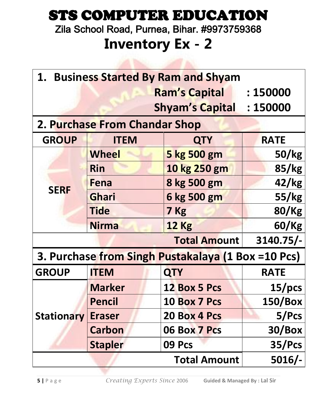Zila School Road, Purnea, Bihar. #9973759368

#### **Inventory Ex - 2**

**CAN DESCRIPTION** 

| 1. Business Started By Ram and Shyam |                                  |                                                    |              |  |  |
|--------------------------------------|----------------------------------|----------------------------------------------------|--------------|--|--|
|                                      | <b>Ram's Capital</b><br>: 150000 |                                                    |              |  |  |
|                                      |                                  | <b>Shyam's Capital</b>                             | : 150000     |  |  |
|                                      | 2. Purchase From Chandar Shop    |                                                    |              |  |  |
| <b>GROUP</b>                         | <b>ITEM</b>                      | <b>QTY</b>                                         | <b>RATE</b>  |  |  |
|                                      | <b>Wheel</b>                     | 5 kg 500 gm                                        | 50/kg        |  |  |
|                                      | <b>Rin</b>                       | 10 kg 250 gm                                       | 85/kg        |  |  |
| <b>SERF</b>                          | Fena                             | 8 kg 500 gm                                        | 42/kg        |  |  |
|                                      | Ghari                            | 6 kg 500 gm                                        | 55/kg        |  |  |
|                                      | <b>Tide</b>                      | 7 Kg                                               | <b>80/Kg</b> |  |  |
|                                      | <b>Nirma</b>                     | <b>12 Kg</b>                                       | 60/Kg        |  |  |
|                                      |                                  | <b>Total Amount</b>                                | 3140.75/-    |  |  |
|                                      |                                  | 3. Purchase from Singh Pustakalaya (1 Box =10 Pcs) |              |  |  |
| <b>GROUP</b>                         | <b>ITEM</b>                      | <b>QTY</b>                                         | <b>RATE</b>  |  |  |
|                                      | <b>Marker</b>                    | <b>12 Box 5 Pcs</b>                                | $15/$ pcs    |  |  |
|                                      | <b>Pencil</b>                    | <b>10 Box 7 Pcs</b>                                | 150/Box      |  |  |
| <b>Stationary</b>                    | <b>Eraser</b>                    | 20 Box 4 Pcs                                       | 5/PCs        |  |  |
|                                      | <b>Carbon</b>                    | 06 Box 7 Pcs                                       | $30/B$ ox    |  |  |
|                                      | <b>Stapler</b>                   | 09 Pcs                                             | 35/PCs       |  |  |
| $5016/-$<br><b>Total Amount</b>      |                                  |                                                    |              |  |  |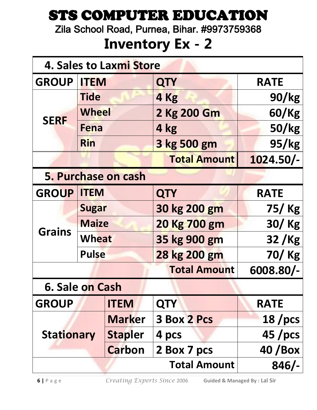Zila School Road, Purnea, Bihar. #9973759368

| 4. Sales to Laxmi Store |              |                     |                     |                 |
|-------------------------|--------------|---------------------|---------------------|-----------------|
| <b>GROUP</b>            | <b>ITEM</b>  |                     | <b>QTY</b>          | <b>RATE</b>     |
|                         | <b>Tide</b>  |                     | 4 Kg                | 90/kg           |
| <b>SERF</b>             | <b>Wheel</b> |                     | 2 Kg 200 Gm         | 60/Kg           |
|                         | Fena         |                     | 4 kg                | 50/kg           |
|                         | <b>Rin</b>   |                     | 3 kg 500 gm         | 95/kg           |
|                         |              |                     | <b>Total Amount</b> | $1024.50/-$     |
|                         |              | 5. Purchase on cash |                     |                 |
| <b>GROUP</b>            | <b>ITEM</b>  |                     | <b>QTY</b>          | <b>RATE</b>     |
|                         | <b>Sugar</b> |                     | 30 kg 200 gm        | 75/Kg           |
| <b>Grains</b>           | <b>Maize</b> |                     | 20 Kg 700 gm        | $30/$ Kg        |
|                         | <b>Wheat</b> |                     | 35 kg 900 gm        | 32/Kg           |
|                         | <b>Pulse</b> |                     | 28 kg 200 gm        | 70/Kg           |
|                         |              |                     | <b>Total Amount</b> | 6008.80/-       |
| 6. Sale on Cash         |              |                     |                     |                 |
| <b>GROUP</b>            |              | <b>ITEM</b>         | <b>QTY</b>          | <b>RATE</b>     |
|                         |              | <b>Marker</b>       | <b>3 Box 2 Pcs</b>  | $18$ /pcs       |
| <b>Stationary</b>       |              | <b>Stapler</b>      | 4 pcs               | $45$ /pcs       |
|                         |              | <b>Carbon</b>       | 2 Box 7 pcs         | <b>40 / Box</b> |
|                         |              |                     | <b>Total Amount</b> | $846/-$         |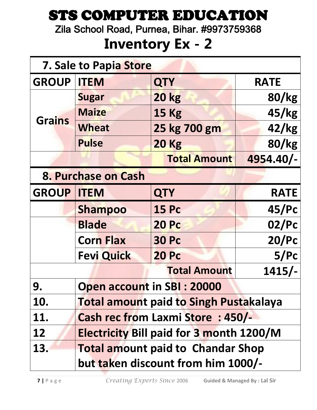Zila School Road, Purnea, Bihar. #9973759368

| 7. Sale to Papia Store |                                                 |                                               |             |  |
|------------------------|-------------------------------------------------|-----------------------------------------------|-------------|--|
| <b>GROUP</b>           | <b>ITEM</b>                                     | <b>QTY</b>                                    | <b>RATE</b> |  |
|                        | <b>Sugar</b>                                    | <b>20 kg</b>                                  | 80/kg       |  |
| <b>Grains</b>          | <b>Maize</b>                                    | <b>15 Kg</b>                                  | 45/kg       |  |
|                        | <b>Wheat</b>                                    | 25 kg 700 gm                                  | 42/kg       |  |
|                        | <b>Pulse</b>                                    | <b>20 Kg</b>                                  | 80/kg       |  |
|                        |                                                 | <b>Total Amount</b>                           | 4954.40/-   |  |
|                        | 8. Purchase on Cash                             |                                               |             |  |
| <b>GROUP ITEM</b>      |                                                 | <b>QTY</b>                                    | <b>RATE</b> |  |
|                        | <b>Shampoo</b>                                  | <b>15 Pc</b>                                  | 45/PC       |  |
|                        | <b>Blade</b>                                    | <b>20 Pc</b>                                  | 02/PC       |  |
|                        | <b>Corn Flax</b>                                | <b>30 Pc</b>                                  | 20/PC       |  |
|                        | <b>Fevi Quick</b>                               | <b>20 Pc</b>                                  | 5/PC        |  |
|                        |                                                 | <b>Total Amount</b>                           | $1415/-$    |  |
| 9.                     | <b>Open account in SBI: 20000</b>               |                                               |             |  |
| 10.                    |                                                 | <b>Total amount paid to Singh Pustakalaya</b> |             |  |
| 11.                    | <b>Cash rec from Laxmi Store: 450/-</b>         |                                               |             |  |
| 12                     | <b>Electricity Bill paid for 3 month 1200/M</b> |                                               |             |  |
| 13.                    |                                                 | <b>Total amount paid to Chandar Shop</b>      |             |  |
|                        |                                                 | but taken discount from him 1000/-            |             |  |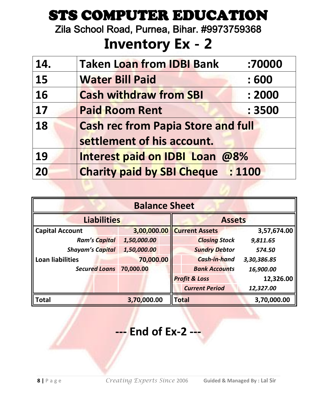Zila School Road, Purnea, Bihar. #9973759368

## **Inventory Ex - 2**

| 14. | <b>Taken Loan from IDBI Bank</b>          | :70000 |
|-----|-------------------------------------------|--------|
| 15  | <b>Water Bill Paid</b>                    | : 600  |
| 16  | <b>Cash withdraw from SBI</b>             | : 2000 |
| 17  | <b>Paid Room Rent</b>                     | : 3500 |
| 18  | <b>Cash rec from Papia Store and full</b> |        |
|     | settlement of his account.                |        |
| 19  | <b>Interest paid on IDBI Loan @8%</b>     |        |
| 20  | <b>Charity paid by SBI Cheque : 1100</b>  |        |

| <b>Balance Sheet</b>    |             |  |               |                          |             |
|-------------------------|-------------|--|---------------|--------------------------|-------------|
| <b>Liabilities</b>      |             |  | <b>Assets</b> |                          |             |
| <b>Capital Account</b>  | 3,00,000.00 |  |               | <b>Current Assets</b>    | 3,57,674.00 |
| <b>Ram's Capital</b>    | 1,50,000.00 |  |               | <b>Closing Stock</b>     | 9,811.65    |
| <b>Shayam's Capital</b> | 1,50,000.00 |  |               | <b>Sundry Debtor</b>     | 574.50      |
| <b>Loan liabilities</b> | 70,000.00   |  |               | <b>Cash-in-hand</b>      | 3,30,386.85 |
| <b>Secured Loans</b>    | 70,000.00   |  |               | <b>Bank Accounts</b>     | 16,900.00   |
|                         |             |  |               | <b>Profit &amp; Loss</b> | 12,326.00   |
|                         |             |  |               | <b>Current Period</b>    | 12,327.00   |
| <b>Total</b>            | 3,70,000.00 |  | <b>Total</b>  |                          | 3,70,000.00 |

#### **--- End of Ex-2 ---**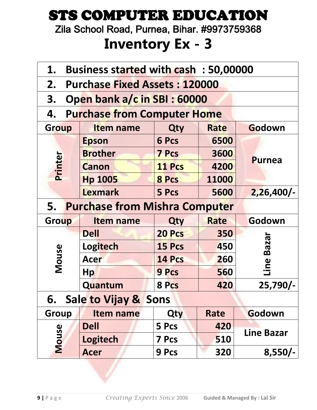Zila School Road, Purnea, Bihar. #9973759368

| 1.           | Business started with cash: 50,00000 |              |             |                   |  |  |
|--------------|--------------------------------------|--------------|-------------|-------------------|--|--|
| 2.           | <b>Purchase Fixed Assets: 120000</b> |              |             |                   |  |  |
| 3.           | Open bank a/c in SBI: 60000          |              |             |                   |  |  |
| 4.           | <b>Purchase from Computer Home</b>   |              |             |                   |  |  |
| <b>Group</b> | <b>Item name</b>                     | Qty          | <b>Rate</b> | Godown            |  |  |
|              | <b>Epson</b>                         | 6 Pcs        | 6500        |                   |  |  |
|              | <b>Brother</b>                       | <b>7 Pcs</b> | 3600        | <b>Purnea</b>     |  |  |
| Printer      | <b>Canon</b>                         | 11 Pcs       | 4200        |                   |  |  |
|              | <b>Hp 1005</b>                       | 8 Pcs        | 11000       |                   |  |  |
|              | <b>Lexmark</b><br>5 Pcs<br>5600      |              |             |                   |  |  |
| 5. .         | <b>Purchase from Mishra Computer</b> |              |             |                   |  |  |
| Group        | <b>Item name</b>                     | Qty          | <b>Rate</b> | Godown            |  |  |
|              | <b>Dell</b>                          | 20 Pcs       | 350         |                   |  |  |
|              | Logitech                             | 15 Pcs       | 450         | <b>Bazar</b>      |  |  |
| Mouse        | <b>Acer</b>                          | 14 Pcs       | 260         |                   |  |  |
|              | Hp                                   | <b>9 Pcs</b> | 560         | Line              |  |  |
|              | Quantum                              | 8 Pcs        | 420         | $25,790/-$        |  |  |
|              | 6. Sale to Vijay & Sons              |              |             |                   |  |  |
| Group        | Item name                            | Qty          | Rate        | Godown            |  |  |
|              | <b>Dell</b>                          | 5 Pcs        | 420         |                   |  |  |
| <b>Mouse</b> | <b>Logitech</b>                      | <b>7 Pcs</b> | 510         | <b>Line Bazar</b> |  |  |
|              | <b>Acer</b>                          | 9 Pcs        | 320         | $8,550/-$         |  |  |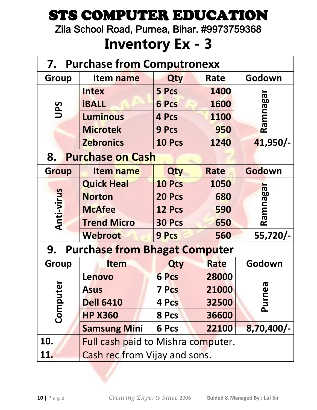Zila School Road, Purnea, Bihar. #9973759368

| 7.<br><b>Purchase from Computronexx</b> |                                           |              |             |                       |  |
|-----------------------------------------|-------------------------------------------|--------------|-------------|-----------------------|--|
| Group                                   | Item name                                 | Qty          | Rate        | Godown                |  |
|                                         | <b>Intex</b>                              | 5 Pcs        | 1400        |                       |  |
| UPS                                     | <b>iBALL</b>                              | <b>6 Pcs</b> | 1600        |                       |  |
|                                         | <b>Luminous</b>                           | 4 Pcs        | 1100        | Ramnagar              |  |
|                                         | <b>Microtek</b>                           | <b>9 Pcs</b> | 950         |                       |  |
|                                         | <b>Zebronics</b>                          | 10 Pcs       | 1240        | 41,950/-              |  |
| 8.                                      | <b>Purchase on Cash</b>                   |              |             |                       |  |
| <b>Group</b>                            | Item name                                 | Qty          | <b>Rate</b> | Godown                |  |
|                                         | <b>Quick Heal</b>                         | 10 Pcs       | 1050        |                       |  |
|                                         | <b>Norton</b>                             | 20 Pcs       | 680         |                       |  |
| <b>Anti-virus</b>                       | <b>McAfee</b>                             | 12 Pcs       | 590         | Ramnagar              |  |
|                                         | <b>Trend Micro</b>                        | 30 Pcs       | 650         |                       |  |
|                                         | <b>Webroot</b>                            | <b>9 Pcs</b> | 560         | 55,720/-              |  |
| 9.                                      | <b>Purchase from Bhagat Computer</b>      |              |             |                       |  |
| <b>Group</b>                            | <b>Item</b>                               | Qty          | <b>Rate</b> | Godown                |  |
|                                         | Lenovo                                    | <b>6 Pcs</b> | 28000       |                       |  |
| نه<br>ه                                 | <b>Asus</b>                               | 7 Pcs        | 21000       | $\boldsymbol{\sigma}$ |  |
|                                         | Comput<br><b>Dell 6410</b>                |              | 32500       | Purne                 |  |
|                                         | <b>HP X360</b>                            | 8 Pcs        | 36600       |                       |  |
|                                         | <b>Samsung Mini</b>                       | 6 Pcs        | 22100       | $8,70,400/-$          |  |
| 10.                                     | <b>Full cash paid to Mishra computer.</b> |              |             |                       |  |
| 11.                                     | Cash rec from Vijay and sons.             |              |             |                       |  |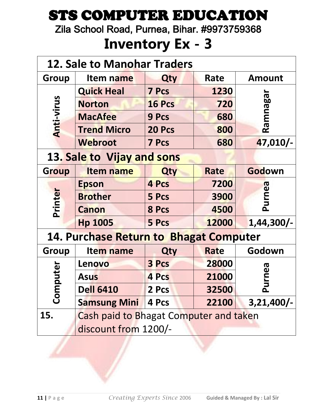Zila School Road, Purnea, Bihar. #9973759368

| <b>12. Sale to Manohar Traders</b> |                                               |              |             |               |  |
|------------------------------------|-----------------------------------------------|--------------|-------------|---------------|--|
| Group                              | Item name                                     | Qty          | Rate        | <b>Amount</b> |  |
|                                    | <b>Quick Heal</b>                             | <b>7 Pcs</b> | 1230        |               |  |
|                                    | <b>Norton</b>                                 | 16 Pcs       | 720         |               |  |
|                                    | <b>MacAfee</b>                                | <b>9 Pcs</b> | 680         | Ramnaga       |  |
| <b>Anti-virus</b>                  | <b>Trend Micro</b>                            | 20 Pcs       | 800         |               |  |
|                                    | Webroot                                       | <b>7 Pcs</b> | 680         | 47,010/-      |  |
|                                    | 13. Sale to Vijay and sons                    |              |             |               |  |
| Group                              | <b>Item name</b>                              | Qty          | <b>Rate</b> | Godown        |  |
|                                    | <b>Epson</b>                                  | 4 Pcs        | 7200        |               |  |
|                                    | <b>Brother</b>                                | 5 Pcs        | 3900        | Purnea        |  |
| Printer                            | <b>Canon</b>                                  | 8 Pcs        | 4500        |               |  |
|                                    | <b>Hp 1005</b>                                | 5 Pcs        | 12000       | $1,44,300/-$  |  |
|                                    | <b>14. Purchase Return to Bhagat Computer</b> |              |             |               |  |
| Group                              | Item name                                     | Qty          | <b>Rate</b> | Godown        |  |
|                                    | Lenovo                                        | 3 Pcs        | 28000       |               |  |
|                                    | <b>Asus</b>                                   | 4 Pcs        | 21000       | urnea         |  |
| Computer                           | <b>Dell 6410</b>                              | 2 Pcs        | 32500       | ௨             |  |
|                                    | <b>Samsung Mini</b>                           | 4 Pcs        | 22100       | $3,21,400/-$  |  |
| 15.                                | <b>Cash paid to Bhagat Computer and taken</b> |              |             |               |  |
|                                    | discount from 1200/-                          |              |             |               |  |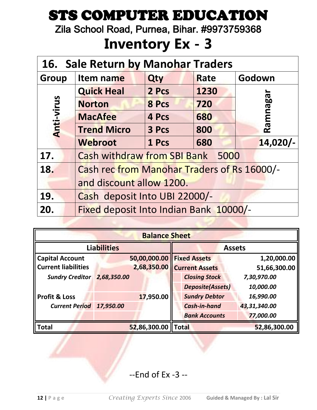Zila School Road, Purnea, Bihar. #9973759368

### **Inventory Ex - 3**

| 16. Sale Return by Manohar Traders               |                                             |       |      |          |  |  |  |  |
|--------------------------------------------------|---------------------------------------------|-------|------|----------|--|--|--|--|
| <b>Group</b>                                     | Item name                                   | Qty   | Rate | Godown   |  |  |  |  |
|                                                  | <b>Quick Heal</b><br>2 Pcs<br>1230          |       |      |          |  |  |  |  |
|                                                  | <b>Norton</b>                               | 8 Pcs | 720  |          |  |  |  |  |
|                                                  | <b>MacAfee</b>                              | 4 Pcs | 680  | Ramnagar |  |  |  |  |
| Anti-virus<br><b>Trend Micro</b><br>3 Pcs<br>800 |                                             |       |      |          |  |  |  |  |
|                                                  | $14,020/-$<br>1 Pcs<br>Webroot<br>680       |       |      |          |  |  |  |  |
| 17.                                              | <b>Cash withdraw from SBI Bank</b>          |       | 5000 |          |  |  |  |  |
| 18.                                              | Cash rec from Manohar Traders of Rs 16000/- |       |      |          |  |  |  |  |
|                                                  | and discount allow 1200.                    |       |      |          |  |  |  |  |
| 19.                                              | Cash deposit Into UBI 22000/-               |       |      |          |  |  |  |  |
| 20.                                              | Fixed deposit Into Indian Bank 10000/-      |       |      |          |  |  |  |  |

| <b>Balance Sheet</b>       |             |              |              |                              |               |              |  |
|----------------------------|-------------|--------------|--------------|------------------------------|---------------|--------------|--|
| <b>Liabilities</b>         |             |              |              |                              | <b>Assets</b> |              |  |
| <b>Capital Account</b>     |             |              |              | 50,00,000.00   Fixed Assets  |               | 1,20,000.00  |  |
| <b>Current liabilities</b> |             |              |              | 2,68,350.00   Current Assets |               | 51,66,300.00 |  |
| <b>Sundry Creditor</b>     | 2,68,350.00 |              |              | <b>Closing Stock</b>         |               | 7,30,970.00  |  |
|                            |             |              |              | <b>Deposite(Assets)</b>      |               | 10,000.00    |  |
| <b>Profit &amp; Loss</b>   |             | 17,950.00    |              | <b>Sundry Debtor</b>         |               | 16,990.00    |  |
| <b>Current Period</b>      | 17,950.00   |              |              | <b>Cash-in-hand</b>          |               | 43,31,340.00 |  |
|                            |             |              |              | <b>Bank Accounts</b>         |               | 77,000.00    |  |
| <b>Total</b>               |             | 52,86,300.00 | <b>Total</b> |                              |               | 52,86,300.00 |  |

#### --End of Ex -3 --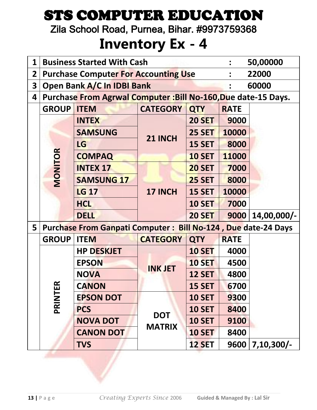Zila School Road, Purnea, Bihar. #9973759368

| 1                       | <b>Business Started With Cash</b><br>50,00000                 |                                                                      |                 |               |             |              |  |  |  |
|-------------------------|---------------------------------------------------------------|----------------------------------------------------------------------|-----------------|---------------|-------------|--------------|--|--|--|
| $\overline{2}$          | <b>Purchase Computer For Accounting Use</b><br>22000          |                                                                      |                 |               |             |              |  |  |  |
| $\overline{\mathbf{3}}$ | Open Bank A/C In IDBI Bank<br>60000                           |                                                                      |                 |               |             |              |  |  |  |
| 4                       | Purchase From Agrwal Computer: Bill No-160, Due date-15 Days. |                                                                      |                 |               |             |              |  |  |  |
|                         | <b>GROUP</b>                                                  | <b>ITEM</b>                                                          | <b>QTY</b>      | <b>RATE</b>   |             |              |  |  |  |
|                         |                                                               | <b>INTEX</b>                                                         |                 | <b>20 SET</b> | 9000        |              |  |  |  |
|                         |                                                               | <b>SAMSUNG</b>                                                       | 21 INCH         | <b>25 SET</b> | 10000       |              |  |  |  |
|                         |                                                               | LG                                                                   |                 | <b>15 SET</b> | 8000        |              |  |  |  |
|                         | MONITOR                                                       | <b>COMPAQ</b>                                                        |                 | <b>10 SET</b> | 11000       |              |  |  |  |
|                         |                                                               | <b>INTEX 17</b>                                                      |                 | <b>20 SET</b> | 7000        |              |  |  |  |
|                         |                                                               | <b>SAMSUNG 17</b>                                                    |                 | <b>25 SET</b> | 8000        |              |  |  |  |
|                         |                                                               | <b>LG 17</b>                                                         | 17 INCH         | <b>15 SET</b> | 10000       |              |  |  |  |
|                         |                                                               | <b>HCL</b>                                                           |                 | <b>10 SET</b> | 7000        |              |  |  |  |
|                         |                                                               | <b>DELL</b>                                                          |                 | <b>20 SET</b> | 9000        | 14,00,000/-  |  |  |  |
| 5                       |                                                               | <b>Purchase From Ganpati Computer: Bill No-124, Due date-24 Days</b> |                 |               |             |              |  |  |  |
|                         | <b>GROUP</b>                                                  | <b>ITEM</b>                                                          | <b>CATEGORY</b> | <b>QTY</b>    | <b>RATE</b> |              |  |  |  |
|                         |                                                               | <b>HP DESKJET</b>                                                    |                 | <b>10 SET</b> | 4000        |              |  |  |  |
|                         |                                                               | <b>EPSON</b>                                                         | <b>INK JET</b>  | <b>10 SET</b> | 4500        |              |  |  |  |
|                         |                                                               | <b>NOVA</b>                                                          |                 | <b>12 SET</b> | 4800        |              |  |  |  |
|                         | œ                                                             | <b>CANON</b>                                                         |                 | <b>15 SET</b> | 6700        |              |  |  |  |
|                         | PRINTE                                                        | <b>EPSON DOT</b>                                                     |                 | <b>10 SET</b> | 9300        |              |  |  |  |
|                         |                                                               | <b>PCS</b>                                                           | <b>DOT</b>      | <b>10 SET</b> | 8400        |              |  |  |  |
|                         |                                                               | <b>NOVA DOT</b>                                                      | <b>MATRIX</b>   | <b>10 SET</b> | 9100        |              |  |  |  |
|                         |                                                               | <b>CANON DOT</b>                                                     |                 | <b>10 SET</b> | 8400        |              |  |  |  |
|                         |                                                               | <b>TVS</b>                                                           |                 | <b>12 SET</b> | 9600        | $7,10,300/-$ |  |  |  |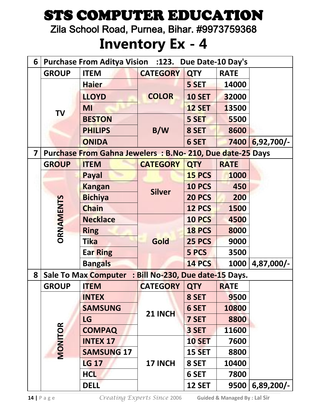Zila School Road, Purnea, Bihar. #9973759368

#### **Inventory Ex - 4**

| 6 | <b>Purchase From Aditya Vision :123. Due Date-10 Day's</b> |                                                          |                                  |               |             |              |  |  |
|---|------------------------------------------------------------|----------------------------------------------------------|----------------------------------|---------------|-------------|--------------|--|--|
|   | <b>GROUP</b>                                               | <b>ITEM</b>                                              | <b>CATEGORY</b>                  | <b>QTY</b>    | <b>RATE</b> |              |  |  |
|   |                                                            | <b>Haier</b>                                             |                                  | 5 SET         | 14000       |              |  |  |
|   |                                                            | <b>LLOYD</b>                                             | <b>COLOR</b>                     | <b>10 SET</b> | 32000       |              |  |  |
|   |                                                            | <b>MI</b>                                                |                                  | <b>12 SET</b> | 13500       |              |  |  |
|   | <b>TV</b>                                                  | <b>BESTON</b>                                            |                                  | 5 SET         | 5500        |              |  |  |
|   |                                                            | <b>PHILIPS</b>                                           | B/W                              | 8 SET         | 8600        |              |  |  |
|   |                                                            | <b>ONIDA</b>                                             |                                  | 6 SET         | 7400        | $6,92,700/-$ |  |  |
| 7 |                                                            | Purchase From Gahna Jewelers: B.No-210, Due date-25 Days |                                  |               |             |              |  |  |
|   | <b>GROUP</b>                                               | <b>ITEM</b>                                              | <b>CATEGORY</b>                  | <b>QTY</b>    | <b>RATE</b> |              |  |  |
|   |                                                            | Payal                                                    |                                  | 15 PCS        | 1000        |              |  |  |
|   | <b>ORNAMENTS</b>                                           | <b>Kangan</b>                                            | <b>Silver</b>                    | <b>10 PCS</b> | 450         |              |  |  |
|   |                                                            | <b>Bichiya</b>                                           |                                  | <b>20 PCS</b> | 200         |              |  |  |
|   |                                                            | <b>Chain</b>                                             |                                  | <b>12 PCS</b> | 1500        |              |  |  |
|   |                                                            | <b>Necklace</b>                                          |                                  | <b>10 PCS</b> | 4500        |              |  |  |
|   |                                                            | <b>Ring</b>                                              |                                  | <b>18 PCS</b> | 8000        |              |  |  |
|   |                                                            | <b>Tika</b>                                              | Gold                             | <b>25 PCS</b> | 9000        |              |  |  |
|   |                                                            | <b>Ear Ring</b>                                          |                                  | 5 PCS         | 3500        |              |  |  |
|   |                                                            | <b>Bangals</b>                                           |                                  | <b>14 PCS</b> | 1000        | 4,87,000/-   |  |  |
| 8 |                                                            | <b>Sale To Max Computer</b>                              | : Bill No-230, Due date-15 Days. |               |             |              |  |  |
|   | <b>GROUP</b>                                               | <b>ITEM</b>                                              | <b>CATEGORY QTY</b>              |               | <b>RATE</b> |              |  |  |
|   |                                                            | <b>INTEX</b>                                             |                                  | 8 SET         | 9500        |              |  |  |
|   |                                                            | <b>SAMSUNG</b>                                           | 21 INCH                          | 6 SET         | 10800       |              |  |  |
|   |                                                            | <b>LG</b>                                                |                                  | 7 SET         | 8800        |              |  |  |
|   |                                                            | <b>COMPAQ</b>                                            |                                  | 3 SET         | 11600       |              |  |  |
|   | MONITOR                                                    | <b>INTEX 17</b>                                          |                                  | <b>10 SET</b> | 7600        |              |  |  |
|   |                                                            | <b>SAMSUNG 17</b>                                        |                                  | <b>15 SET</b> | 8800        |              |  |  |
|   |                                                            | <b>LG 17</b>                                             | 17 INCH                          | 8 SET         | 10400       |              |  |  |
|   |                                                            | <b>HCL</b>                                               |                                  | 6 SET         | 7800        |              |  |  |
|   |                                                            | <b>DELL</b>                                              |                                  | <b>12 SET</b> | 9500        | $6,89,200/-$ |  |  |

**14 |** P a g e *Creating Experts Since* 2006 **Guided & Managed By : Lal Sir**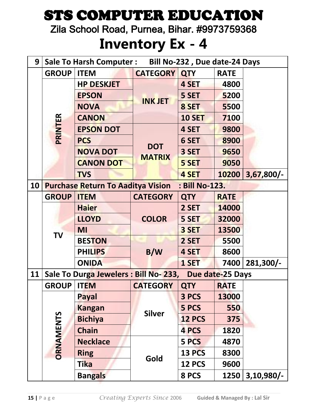Zila School Road, Purnea, Bihar. #9973759368

| 9  |                   | <b>Sale To Harsh Computer:</b>                         |                 | Bill No-232, Due date-24 Days |             |              |
|----|-------------------|--------------------------------------------------------|-----------------|-------------------------------|-------------|--------------|
|    | <b>GROUP</b>      | <b>ITEM</b>                                            | <b>CATEGORY</b> | <b>QTY</b>                    | <b>RATE</b> |              |
|    |                   | <b>HP DESKJET</b>                                      |                 | 4 SET                         | 4800        |              |
|    |                   | <b>EPSON</b>                                           |                 | 5 SET                         | 5200        |              |
|    | PRINTER           | <b>NOVA</b>                                            | <b>INK JET</b>  | 8 SET                         | 5500        |              |
|    |                   | <b>CANON</b>                                           |                 | <b>10 SET</b>                 | 7100        |              |
|    |                   | <b>EPSON DOT</b>                                       |                 | 4 SET                         | 9800        |              |
|    |                   | <b>PCS</b>                                             |                 | 6 SET                         | 8900        |              |
|    |                   | <b>NOVA DOT</b>                                        | <b>DOT</b>      | 3 SET                         | 9650        |              |
|    |                   | <b>CANON DOT</b>                                       | <b>MATRIX</b>   | 5 SET                         | 9050        |              |
|    |                   | <b>TVS</b>                                             |                 | 4 SET                         | 10200       | $3,67,800/-$ |
| 10 |                   | <b>Purchase Return To Aaditya Vision</b>               |                 | : Bill No-123.                |             |              |
|    | <b>GROUP</b>      | <b>ITEM</b>                                            | <b>CATEGORY</b> | <b>QTY</b>                    | <b>RATE</b> |              |
|    |                   | <b>Haier</b>                                           |                 | 2 SET                         | 14000       |              |
|    | <b>TV</b>         | <b>LLOYD</b>                                           | <b>COLOR</b>    | 5 SET                         | 32000       |              |
|    |                   | MI                                                     |                 | 3 SET                         | 13500       |              |
|    |                   | <b>BESTON</b>                                          |                 | 2 SET                         | 5500        |              |
|    |                   | <b>PHILIPS</b>                                         | B/W             | 4 SET                         | 8600        |              |
|    |                   | <b>ONIDA</b>                                           |                 | 1 SET                         | 7400        | 281,300/-    |
| 11 |                   | Sale To Durga Jewelers : Bill No-233, Due date-25 Days |                 |                               |             |              |
|    | <b>GROUP ITEM</b> |                                                        | <b>CATEGORY</b> | <b>QTY</b>                    | <b>RATE</b> |              |
|    |                   | <b>Payal</b>                                           |                 | 3 PCS                         | 13000       |              |
|    |                   | <b>Kangan</b>                                          | <b>Silver</b>   | 5 PCS                         | 550         |              |
|    |                   | <b>Bichiya</b>                                         |                 | <b>12 PCS</b>                 | 375         |              |
|    |                   | <b>Chain</b>                                           |                 | 4 PCS                         | 1820        |              |
|    |                   | <b>Necklace</b>                                        |                 | 5 PCS                         | 4870        |              |
|    | <b>ORNAMENTS</b>  | <b>Ring</b>                                            | Gold            | <b>13 PCS</b>                 | 8300        |              |
|    |                   | <b>Tika</b>                                            |                 | <b>12 PCS</b>                 | 9600        |              |
|    |                   | <b>Bangals</b>                                         |                 | 8 PCS                         | 1250        | $3,10,980/-$ |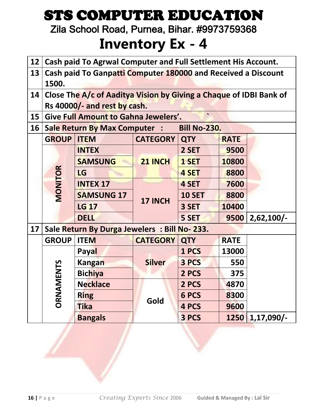Zila School Road, Purnea, Bihar. #9973759368

| 12 | Cash paid To Agrwal Computer and Full Settlement His Account.          |                                                                                                    |                 |                     |             |              |  |  |  |
|----|------------------------------------------------------------------------|----------------------------------------------------------------------------------------------------|-----------------|---------------------|-------------|--------------|--|--|--|
| 13 | Cash paid To Ganpatti Computer 180000 and Received a Discount<br>1500. |                                                                                                    |                 |                     |             |              |  |  |  |
| 14 |                                                                        | Close The A/c of Aaditya Vision by Giving a Chaque of IDBI Bank of<br>Rs 40000/- and rest by cash. |                 |                     |             |              |  |  |  |
| 15 | <b>Give Full Amount to Gahna Jewelers'.</b>                            |                                                                                                    |                 |                     |             |              |  |  |  |
| 16 |                                                                        | <b>Sale Return By Max Computer :</b>                                                               |                 | <b>Bill No-230.</b> |             |              |  |  |  |
|    | <b>GROUP</b>                                                           | <b>ITEM</b>                                                                                        | <b>CATEGORY</b> | <b>QTY</b>          | <b>RATE</b> |              |  |  |  |
|    |                                                                        | <b>INTEX</b>                                                                                       |                 | 2 SET               | 9500        |              |  |  |  |
|    |                                                                        | <b>SAMSUNG</b>                                                                                     | 21 INCH         | 1 SET               | 10800       |              |  |  |  |
|    | MONITOR                                                                | LG                                                                                                 |                 | 4 SET               | 8800        |              |  |  |  |
|    |                                                                        | <b>INTEX 17</b>                                                                                    |                 | 4 SET               | 7600        |              |  |  |  |
|    |                                                                        | <b>SAMSUNG 17</b>                                                                                  | 17 INCH         | <b>10 SET</b>       | 8800        |              |  |  |  |
|    |                                                                        | <b>LG 17</b>                                                                                       |                 | 3 SET               | 10400       |              |  |  |  |
|    |                                                                        | <b>DELL</b>                                                                                        |                 | 5 SET               | 9500        | $2,62,100/-$ |  |  |  |
| 17 |                                                                        | Sale Return By Durga Jewelers : Bill No-233.                                                       |                 |                     |             |              |  |  |  |
|    | <b>GROUP</b>                                                           | <b>ITEM</b>                                                                                        | <b>CATEGORY</b> | <b>QTY</b>          | <b>RATE</b> |              |  |  |  |
|    |                                                                        | Payal                                                                                              |                 | 1 PCS               | 13000       |              |  |  |  |
|    |                                                                        | <b>Kangan</b>                                                                                      | <b>Silver</b>   | 3 PCS               | 550         |              |  |  |  |
|    |                                                                        | <b>Bichiya</b>                                                                                     |                 | 2 PCS               | 375         |              |  |  |  |
|    | ORNAMENTS                                                              | <b>Necklace</b>                                                                                    |                 | 2 PCS               | 4870        |              |  |  |  |
|    |                                                                        | <b>Ring</b>                                                                                        | Gold            | 6 PCS               | 8300        |              |  |  |  |
|    |                                                                        | <b>Tika</b>                                                                                        |                 | 4 PCS               | 9600        |              |  |  |  |
|    |                                                                        | <b>Bangals</b>                                                                                     |                 | 3 PCS               | 1250        | $1,17,090/-$ |  |  |  |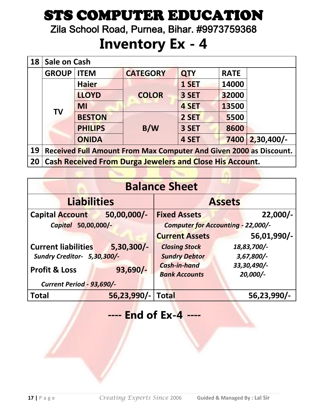Zila School Road, Purnea, Bihar. #9973759368

#### **Inventory Ex - 4**

| 18              | Sale on Cash                                                       |                |                                                                 |            |             |              |  |  |  |
|-----------------|--------------------------------------------------------------------|----------------|-----------------------------------------------------------------|------------|-------------|--------------|--|--|--|
|                 | <b>GROUP</b>                                                       | <b>ITEM</b>    | <b>CATEGORY</b>                                                 | <b>QTY</b> | <b>RATE</b> |              |  |  |  |
|                 |                                                                    | <b>Haier</b>   |                                                                 | 1 SET      | 14000       |              |  |  |  |
|                 |                                                                    | <b>LLOYD</b>   | <b>COLOR</b>                                                    | 3 SET      | 32000       |              |  |  |  |
|                 |                                                                    | <b>MI</b>      |                                                                 | 4 SET      | 13500       |              |  |  |  |
|                 | <b>TV</b>                                                          | <b>BESTON</b>  |                                                                 | 2 SET      | 5500        |              |  |  |  |
|                 |                                                                    | <b>PHILIPS</b> | B/W                                                             | 3 SET      | 8600        |              |  |  |  |
|                 |                                                                    | <b>ONIDA</b>   |                                                                 | 4 SET      | 7400        | $2,30,400/-$ |  |  |  |
| 19              | Received Full Amount From Max Computer And Given 2000 as Discount. |                |                                                                 |            |             |              |  |  |  |
| 20 <sub>1</sub> |                                                                    |                | <b>Cash Received From Durga Jewelers and Close His Account.</b> |            |             |              |  |  |  |

|                                  | <b>Balance Sheet</b> |                                           |               |  |  |  |  |  |  |
|----------------------------------|----------------------|-------------------------------------------|---------------|--|--|--|--|--|--|
|                                  | <b>Liabilities</b>   |                                           | <b>Assets</b> |  |  |  |  |  |  |
| <b>Capital Account</b>           | 50,00,000/-          | <b>Fixed Assets</b>                       | $22,000/-$    |  |  |  |  |  |  |
| Capital 50,00,000/-              |                      | <b>Computer for Accounting - 22,000/-</b> |               |  |  |  |  |  |  |
|                                  |                      | <b>Current Assets</b>                     | 56,01,990/-   |  |  |  |  |  |  |
| <b>Current liabilities</b>       | $5,30,300/-$         | <b>Closing Stock</b>                      | 18,83,700/-   |  |  |  |  |  |  |
| Sundry Creditor- 5,30,300/-      |                      | <b>Sundry Debtor</b>                      | 3,67,800/-    |  |  |  |  |  |  |
| <b>Profit &amp; Loss</b>         | $93,690/-$           | <b>Cash-in-hand</b>                       | 33,30,490/-   |  |  |  |  |  |  |
|                                  |                      | <b>Bank Accounts</b>                      | 20,000/-      |  |  |  |  |  |  |
| <b>Current Period - 93,690/-</b> |                      |                                           |               |  |  |  |  |  |  |
| <b>Total</b>                     | 56,23,990/-          | <b>Total</b>                              | 56,23,990/-   |  |  |  |  |  |  |

#### *----* **End of Ex-4** *----*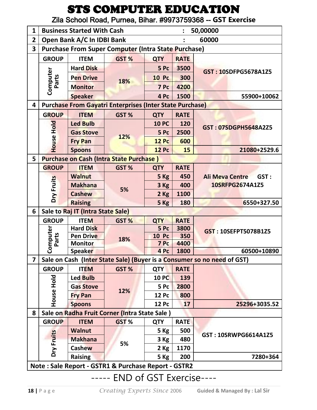Zila School Road, Purnea, Bihar. #9973759368 -- **GST Exercise**

| 1              |                   | <b>Business Started With Cash</b> |                                                                 |              |             | 50,00000                                                                |
|----------------|-------------------|-----------------------------------|-----------------------------------------------------------------|--------------|-------------|-------------------------------------------------------------------------|
| $\overline{2}$ |                   | Open Bank A/C In IDBI Bank        |                                                                 |              |             | 60000                                                                   |
| 3              |                   |                                   | <b>Purchase From Super Computer (Intra State Purchase)</b>      |              |             |                                                                         |
|                | <b>GROUP</b>      | <b>ITEM</b>                       | GST %                                                           | <b>QTY</b>   | <b>RATE</b> |                                                                         |
|                |                   | <b>Hard Disk</b>                  |                                                                 | 5 Pc         | 3500        |                                                                         |
|                |                   | <b>Pen Drive</b>                  |                                                                 | <b>10 Pc</b> | 300         | GST: 10SDFPG5678A1Z5                                                    |
|                | Computer<br>Parts | <b>Monitor</b>                    | 18%                                                             | 7 Pc         | 4200        |                                                                         |
|                |                   | <b>Speaker</b>                    |                                                                 | 4 Pc         | 1500        | 55900+10062                                                             |
| 4              |                   |                                   | <b>Purchase From Gayatri Enterprises (Inter State Purchase)</b> |              |             |                                                                         |
|                | <b>GROUP</b>      | <b>ITEM</b>                       | GST%                                                            | <b>QTY</b>   | <b>RATE</b> |                                                                         |
|                |                   | <b>Led Bulb</b>                   |                                                                 | <b>10 PC</b> | 120         |                                                                         |
|                |                   | <b>Gas Stove</b>                  |                                                                 | 5 Pc         | 2500        | GST: 07SDGPH5648A2Z5                                                    |
|                | House Hold        | <b>Fry Pan</b>                    | 12%                                                             | <b>12 Pc</b> | 600         |                                                                         |
|                |                   | <b>Spoons</b>                     |                                                                 | <b>12 Pc</b> | 15          | 21080+2529.6                                                            |
| 5              |                   |                                   | <b>Purchase on Cash (Intra State Purchase)</b>                  |              |             |                                                                         |
|                | <b>GROUP</b>      | <b>ITEM</b>                       | GST%                                                            | <b>QTY</b>   | <b>RATE</b> |                                                                         |
|                |                   | <b>Walnut</b>                     |                                                                 | 5 Kg         | 450         | GST:<br><b>Ali Meva Centre</b>                                          |
|                |                   | <b>Makhana</b>                    | 5%                                                              | 3 Kg         | 400         | 10SRFPG2674A1Z5                                                         |
|                | Dry Fruits        | <b>Cashew</b>                     |                                                                 | $2$ Kg       | 1100        |                                                                         |
|                |                   | <b>Raising</b>                    |                                                                 | 5 Kg         | 180         | 6550+327.50                                                             |
| 6              |                   | Sale to Raj IT (Intra State Sale) |                                                                 |              |             |                                                                         |
|                | <b>GROUP</b>      | <b>ITEM</b>                       | GST %                                                           | <b>QTY</b>   | <b>RATE</b> |                                                                         |
|                | Computer          | <b>Hard Disk</b>                  |                                                                 | 5 Pc         | 3800        | GST: 10SEFPT5078B1Z5                                                    |
|                | Parts             | <b>Pen Drive</b>                  | 18%                                                             | <b>10 Pc</b> | 350         |                                                                         |
|                |                   | <b>Monitor</b>                    |                                                                 | 7 Pc         | 4400        |                                                                         |
|                |                   | <b>Speaker</b>                    |                                                                 | 4 Pc         | 1800        | 60500+10890                                                             |
| 7              |                   |                                   |                                                                 |              |             | Sale on Cash (Inter State Sale) (Buyer is a Consumer so no need of GST) |
|                | <b>GROUP</b>      | <b>ITEM</b>                       | GST%                                                            | <b>QTY</b>   | <b>RATE</b> |                                                                         |
|                |                   | <b>Led Bulb</b>                   |                                                                 | <b>10 PC</b> | 139         |                                                                         |
|                |                   | <b>Gas Stove</b>                  | 12%                                                             | 5 Pc         | 2800        |                                                                         |
|                | <b>PIOH SUSH</b>  | <b>Fry Pan</b>                    |                                                                 | <b>12 Pc</b> | 800         |                                                                         |
|                |                   | <b>Spoons</b>                     |                                                                 | <b>12 Pc</b> | 17          | 25296+3035.52                                                           |
| 8              |                   |                                   | Sale on Radha Fruit Corner (Intra State Sale)                   |              |             |                                                                         |
|                | <b>GROUP</b>      | <b>ITEM</b>                       | GST %                                                           | <b>QTY</b>   | <b>RATE</b> |                                                                         |
|                |                   | <b>Walnut</b>                     |                                                                 | 5 Kg         | 500         | GST: 10SRWPG6614A1Z5                                                    |
|                |                   | <b>Makhana</b>                    | 5%                                                              | $3$ Kg       | 480         |                                                                         |
|                | Dry Fruits        | <b>Cashew</b>                     |                                                                 | $2$ Kg       | 1170        |                                                                         |
|                |                   | <b>Raising</b>                    |                                                                 | 5 Kg         | 200         | 7280+364                                                                |
|                |                   |                                   | Note: Sale Report - GSTR1 & Purchase Report - GSTR2             |              |             |                                                                         |

----- END of GST Exercise----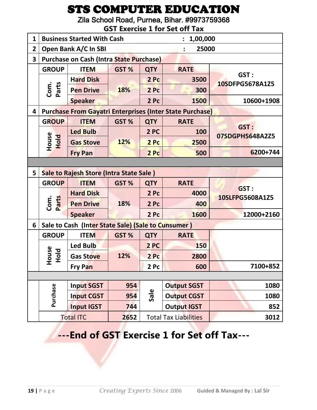Zila School Road, Purnea, Bihar. #9973759368

|                | <b>GST Exercise 1 for Set off Tax</b>                           |                                                    |       |                 |                    |                                |  |  |  |
|----------------|-----------------------------------------------------------------|----------------------------------------------------|-------|-----------------|--------------------|--------------------------------|--|--|--|
| $\mathbf{1}$   |                                                                 | <b>Business Started With Cash</b>                  |       |                 | 1,00,000           |                                |  |  |  |
| $\overline{2}$ |                                                                 | Open Bank A/C In SBI                               |       |                 | 25000              |                                |  |  |  |
| 3              |                                                                 | <b>Purchase on Cash (Intra State Purchase)</b>     |       |                 |                    |                                |  |  |  |
|                | <b>GROUP</b>                                                    | <b>ITEM</b>                                        | GST % | <b>QTY</b>      | <b>RATE</b>        |                                |  |  |  |
|                |                                                                 | <b>Hard Disk</b>                                   |       | 2 Pc            | 3500               | GST:<br>10SDFPG5678A1Z5        |  |  |  |
|                | Parts<br>Com.                                                   | <b>Pen Drive</b>                                   | 18%   | 2 Pc            | 300                |                                |  |  |  |
|                |                                                                 | <b>Speaker</b>                                     |       | 2PC             | 1500               | 10600+1908                     |  |  |  |
| 4              | <b>Purchase From Gayatri Enterprises (Inter State Purchase)</b> |                                                    |       |                 |                    |                                |  |  |  |
|                | <b>GROUP</b>                                                    | <b>ITEM</b>                                        | GST%  | <b>QTY</b>      | <b>RATE</b>        |                                |  |  |  |
|                |                                                                 | <b>Led Bulb</b>                                    |       | 2 PC            | 100                | GST:<br>07SDGPH5648A2Z5        |  |  |  |
|                | House<br>Hold                                                   | <b>Gas Stove</b>                                   | 12%   | 2 Pc            | 2500               |                                |  |  |  |
|                |                                                                 | <b>Fry Pan</b>                                     |       | 2 Pc            | 500                | 6200+744                       |  |  |  |
|                |                                                                 |                                                    |       |                 |                    |                                |  |  |  |
| 5              | Sale to Rajesh Store (Intra State Sale)                         |                                                    |       |                 |                    |                                |  |  |  |
|                | <b>GROUP</b>                                                    | <b>ITEM</b>                                        | GST%  | <b>QTY</b>      | <b>RATE</b>        |                                |  |  |  |
|                |                                                                 | <b>Hard Disk</b>                                   |       | 2 Pc            | 4000               | <b>GST:</b><br>10SLFPG5608A1Z5 |  |  |  |
|                | Com.<br>Parts                                                   | <b>Pen Drive</b>                                   | 18%   | 2 Pc            | 400                |                                |  |  |  |
|                |                                                                 | <b>Speaker</b>                                     |       | 2 <sub>pc</sub> | 1600               | 12000+2160                     |  |  |  |
| 6              |                                                                 | Sale to Cash (Inter State Sale) (Sale to Cunsumer) |       |                 |                    |                                |  |  |  |
|                | <b>GROUP</b>                                                    | <b>ITEM</b>                                        | GST%  | <b>QTY</b>      | <b>RATE</b>        |                                |  |  |  |
|                |                                                                 | <b>Led Bulb</b>                                    |       | 2 PC            | 150                |                                |  |  |  |
|                | use<br><b>DIO</b><br>운 토                                        | <b>Gas Stove</b>                                   | 12%   | 2 <sub>pc</sub> | 2800               |                                |  |  |  |
|                |                                                                 | <b>Fry Pan</b>                                     |       | 2 Pc            | 600                | 7100+852                       |  |  |  |
|                |                                                                 |                                                    |       |                 |                    |                                |  |  |  |
|                | Purchase                                                        | <b>Input SGST</b>                                  | 954   |                 | <b>Output SGST</b> | 1080                           |  |  |  |
|                |                                                                 | <b>Input CGST</b>                                  | 954   | Sale            | <b>Output CGST</b> | 1080                           |  |  |  |
|                |                                                                 |                                                    |       |                 |                    |                                |  |  |  |
|                |                                                                 | <b>Input IGST</b>                                  | 744   |                 | <b>Output IGST</b> | 852                            |  |  |  |

**---End of GST Exercise 1 for Set off Tax---**